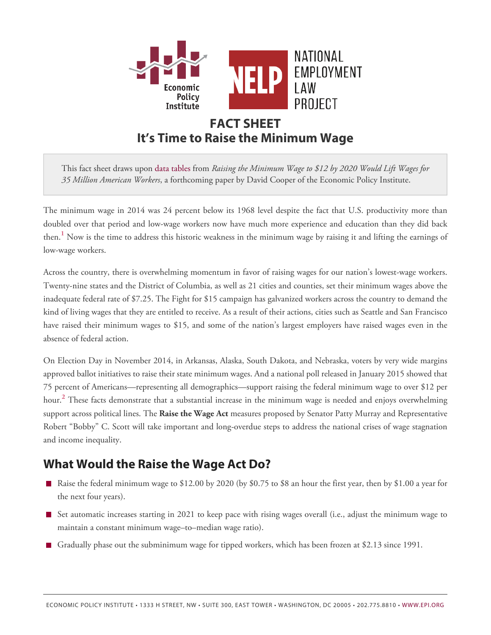

# **FACT SHEET It's Time to Raise the Minimum Wage**

This fact sheet draws upon [data tables](http://www.epi.org/publication/data-tables-raising-the-minimum-wage-to-12-by-2020-would-lift-wages-for-35-million-workers/) from *Raising the Minimum Wage to \$12 by 2020 Would Lift Wages for 35 Million American Workers*, a forthcoming paper by David Cooper of the Economic Policy Institute.

<span id="page-0-0"></span>The minimum wage in 2014 was 24 percent below its 1968 level despite the fact that U.S. productivity more than doubled over that period and low-wage workers now have much more experience and education than they did back then.**[1](#page-2-0)** Now is the time to address this historic weakness in the minimum wage by raising it and lifting the earnings of low-wage workers.

Across the country, there is overwhelming momentum in favor of raising wages for our nation's lowest-wage workers. Twenty-nine states and the District of Columbia, as well as 21 cities and counties, set their minimum wages above the inadequate federal rate of \$7.25. The Fight for \$15 campaign has galvanized workers across the country to demand the kind of living wages that they are entitled to receive. As a result of their actions, cities such as Seattle and San Francisco have raised their minimum wages to \$15, and some of the nation's largest employers have raised wages even in the absence of federal action.

<span id="page-0-1"></span>On Election Day in November 2014, in Arkansas, Alaska, South Dakota, and Nebraska, voters by very wide margins approved ballot initiatives to raise their state minimum wages. And a national poll released in January 2015 showed that 75 percent of Americans—representing all demographics—support raising the federal minimum wage to over \$12 per hour.**[2](#page-2-1)** These facts demonstrate that a substantial increase in the minimum wage is needed and enjoys overwhelming support across political lines. The **Raise the Wage Act** measures proposed by Senator Patty Murray and Representative Robert "Bobby" C. Scott will take important and long-overdue steps to address the national crises of wage stagnation and income inequality.

### **What Would the Raise the Wage Act Do?**

- Raise the federal minimum wage to  $$12.00$  by 2020 (by \$0.75 to \$8 an hour the first year, then by \$1.00 a year for the next four years).
- Set automatic increases starting in 2021 to keep pace with rising wages overall (i.e., adjust the minimum wage to maintain a constant minimum wage–to–median wage ratio).
- Gradually phase out the subminimum wage for tipped workers, which has been frozen at \$2.13 since 1991.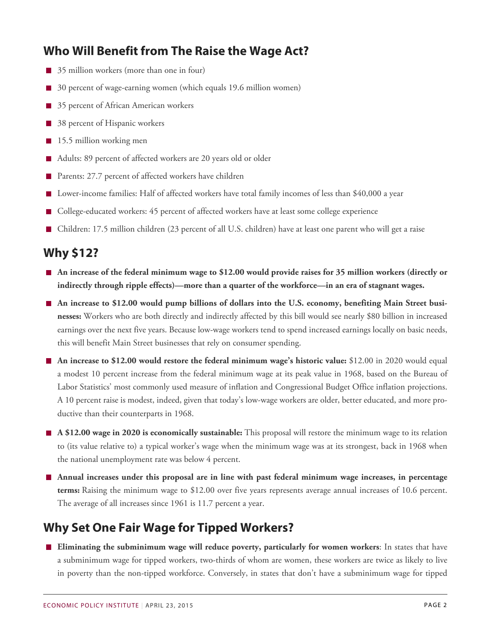## **Who Will Benefit from The Raise the Wage Act?**

- $\Box$  35 million workers (more than one in four)
- 30 percent of wage-earning women (which equals 19.6 million women)
- 35 percent of African American workers
- 38 percent of Hispanic workers
- 15.5 million working men
- Adults: 89 percent of affected workers are 20 years old or older
- Parents: 27.7 percent of affected workers have children
- Lower-income families: Half of affected workers have total family incomes of less than \$40,000 a year
- College-educated workers: 45 percent of affected workers have at least some college experience  $\mathcal{L}_{\mathcal{A}}$
- Children: 17.5 million children (23 percent of all U.S. children) have at least one parent who will get a raise  $\mathcal{L}_{\mathcal{A}}$

#### **Why \$12?**

- **An increase of the federal minimum wage to \$12.00 would provide raises for 35 million workers (directly or indirectly through ripple effects)—more than a quarter of the workforce—in an era of stagnant wages.**
- **An increase to \$12.00 would pump billions of dollars into the U.S. economy, benefiting Main Street businesses:** Workers who are both directly and indirectly affected by this bill would see nearly \$80 billion in increased earnings over the next five years. Because low-wage workers tend to spend increased earnings locally on basic needs, this will benefit Main Street businesses that rely on consumer spending.
- **An increase to \$12.00 would restore the federal minimum wage's historic value:** \$12.00 in 2020 would equal a modest 10 percent increase from the federal minimum wage at its peak value in 1968, based on the Bureau of Labor Statistics' most commonly used measure of inflation and Congressional Budget Office inflation projections. A 10 percent raise is modest, indeed, given that today's low-wage workers are older, better educated, and more productive than their counterparts in 1968.
- **A \$12.00 wage in 2020 is economically sustainable:** This proposal will restore the minimum wage to its relation to (its value relative to) a typical worker's wage when the minimum wage was at its strongest, back in 1968 when the national unemployment rate was below 4 percent.
- **Annual increases under this proposal are in line with past federal minimum wage increases, in percentage terms:** Raising the minimum wage to \$12.00 over five years represents average annual increases of 10.6 percent. The average of all increases since 1961 is 11.7 percent a year.

# **Why Set One Fair Wage for Tipped Workers?**

**Eliminating the subminimum wage will reduce poverty, particularly for women workers:** In states that have a subminimum wage for tipped workers, two-thirds of whom are women, these workers are twice as likely to live in poverty than the non-tipped workforce. Conversely, in states that don't have a subminimum wage for tipped